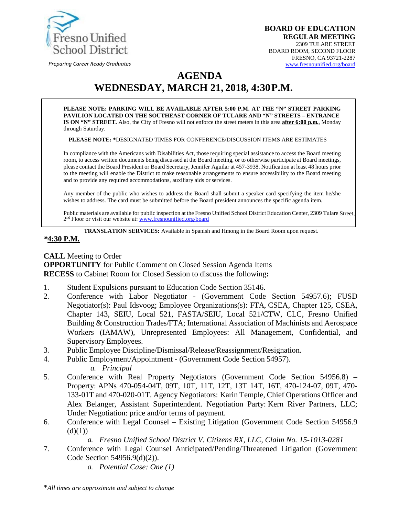

*Preparing Career Ready Graduates*

# **AGENDA WEDNESDAY, MARCH 21, 2018, 4:30P.M.**

**PLEASE NOTE: PARKING WILL BE AVAILABLE AFTER 5:00 P.M. AT THE "N" STREET PARKING PAVILION LOCATED ON THE SOUTHEAST CORNER OF TULARE AND "N" STREETS – ENTRANCE IS ON "N" STREET.** Also, the City of Fresno will not enforce the street meters in this area **after 6:00 p.m.**, Monday through Saturday.

**PLEASE NOTE: \***DESIGNATED TIMES FOR CONFERENCE/DISCUSSION ITEMS ARE ESTIMATES

In compliance with the Americans with Disabilities Act, those requiring special assistance to access the Board meeting room, to access written documents being discussed at the Board meeting, or to otherwise participate at Board meetings, please contact the Board President or Board Secretary, Jennifer Aguilar at 457-3938. Notification at least 48 hours prior to the meeting will enable the District to make reasonable arrangements to ensure accessibility to the Board meeting and to provide any required accommodations, auxiliary aids orservices.

Any member of the public who wishes to address the Board shall submit a speaker card specifying the item he/she wishes to address. The card must be submitted before the Board president announces the specific agenda item.

Public materials are available for public inspection at the Fresno Unified School District Education Center, 2309 Tulare Street, 2<sup>nd</sup> Floor or visit our website at: **[www.fresnounified.org/board](http://www.fresnounified.org/board)** 

**TRANSLATION SERVICES:** Available in Spanish and Hmong in the Board Room upon request.

#### *\****4:30 P.M.**

**CALL** Meeting to Order **OPPORTUNITY** for Public Comment on Closed Session Agenda Items **RECESS** to Cabinet Room for Closed Session to discuss the following**:**

- 1. Student Expulsions pursuant to Education Code Section 35146.
- 2. Conference with Labor Negotiator (Government Code Section 54957.6); FUSD Negotiator(s): Paul Idsvoog; Employee Organizations(s): FTA, CSEA, Chapter 125, CSEA, Chapter 143, SEIU, Local 521, FASTA/SEIU, Local 521/CTW, CLC, Fresno Unified Building & Construction Trades/FTA; International Association of Machinists and Aerospace Workers (IAMAW), Unrepresented Employees: All Management, Confidential, and Supervisory Employees.
- 3. Public Employee Discipline/Dismissal/Release/Reassignment/Resignation.
- 4. Public Employment/Appointment (Government Code Section 54957). *a. Principal*
- 5. Conference with Real Property Negotiators (Government Code Section 54956.8) Property: APNs 470-054-04T, 09T, 10T, 11T, 12T, 13T 14T, 16T, 470-124-07, 09T, 470- 133-01T and 470-020-01T. Agency Negotiators: Karin Temple, Chief Operations Officer and Alex Belanger, Assistant Superintendent. Negotiation Party: Kern River Partners, LLC; Under Negotiation: price and/or terms of payment.
- 6. Conference with Legal Counsel Existing Litigation (Government Code Section 54956.9  $(d)(1))$

*a. Fresno Unified School District V. Citizens RX, LLC, Claim No. 15-1013-0281*

- 7. Conference with Legal Counsel Anticipated/Pending/Threatened Litigation (Government Code Section 54956.9(d)(2)).
	- *a. Potential Case: One (1)*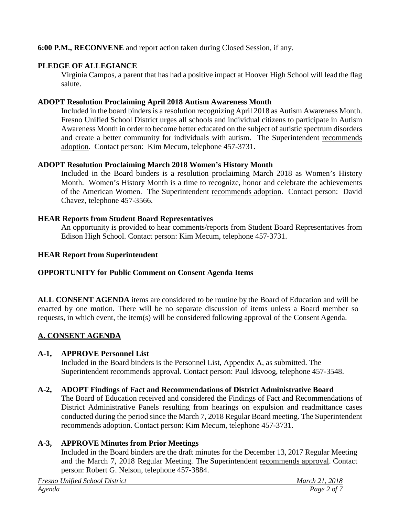## **6:00 P.M., RECONVENE** and report action taken during Closed Session, if any.

#### **PLEDGE OF ALLEGIANCE**

Virginia Campos, a parent that has had a positive impact at Hoover High School will lead the flag salute.

#### **ADOPT Resolution Proclaiming April 2018 Autism Awareness Month**

Included in the board binders is a resolution recognizing April 2018 as Autism Awareness Month. Fresno Unified School District urges all schools and individual citizens to participate in Autism Awareness Month in order to become better educated on the subject of autistic spectrum disorders and create a better community for individuals with autism. The Superintendent recommends adoption. Contact person: Kim Mecum, telephone 457-3731.

#### **ADOPT Resolution Proclaiming March 2018 Women's History Month**

Included in the Board binders is a resolution proclaiming March 2018 as Women's History Month. Women's History Month is a time to recognize, honor and celebrate the achievements of the American Women. The Superintendent recommends adoption. Contact person: David Chavez, telephone 457-3566.

#### **HEAR Reports from Student Board Representatives**

An opportunity is provided to hear comments/reports from Student Board Representatives from Edison High School. Contact person: Kim Mecum, telephone 457-3731.

#### **HEAR Report from Superintendent**

#### **OPPORTUNITY for Public Comment on Consent Agenda Items**

**ALL CONSENT AGENDA** items are considered to be routine by the Board of Education and will be enacted by one motion. There will be no separate discussion of items unless a Board member so requests, in which event, the item(s) will be considered following approval of the Consent Agenda.

## **A. CONSENT AGENDA**

## **A-1, APPROVE Personnel List**

Included in the Board binders is the Personnel List, Appendix A, as submitted. The Superintendent recommends approval. Contact person: Paul Idsvoog, telephone 457-3548.

## **A-2, ADOPT Findings of Fact and Recommendations of District Administrative Board**

The Board of Education received and considered the Findings of Fact and Recommendations of District Administrative Panels resulting from hearings on expulsion and readmittance cases conducted during the period since the March 7, 2018 Regular Board meeting. The Superintendent recommends adoption. Contact person: Kim Mecum, telephone 457-3731.

## **A-3, APPROVE Minutes from Prior Meetings**

Included in the Board binders are the draft minutes for the December 13, 2017 Regular Meeting and the March 7, 2018 Regular Meeting. The Superintendent recommends approval. Contact person: Robert G. Nelson, telephone 457-3884.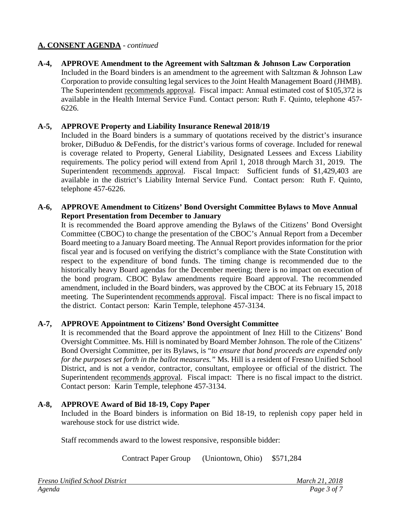# **A. CONSENT AGENDA** - *continued*

**A-4, APPROVE Amendment to the Agreement with Saltzman & Johnson Law Corporation** Included in the Board binders is an amendment to the agreement with Saltzman & Johnson Law Corporation to provide consulting legal services to the Joint Health Management Board (JHMB). The Superintendent recommends approval. Fiscal impact: Annual estimated cost of \$105,372 is available in the Health Internal Service Fund. Contact person: Ruth F. Quinto, telephone 457- 6226.

#### **A-5, APPROVE Property and Liability Insurance Renewal 2018/19**

Included in the Board binders is a summary of quotations received by the district's insurance broker, DiBuduo & DeFendis, for the district's various forms of coverage. Included for renewal is coverage related to Property, General Liability, Designated Lessees and Excess Liability requirements. The policy period will extend from April 1, 2018 through March 31, 2019. The Superintendent recommends approval. Fiscal Impact: Sufficient funds of \$1,429,403 are available in the district's Liability Internal Service Fund. Contact person: Ruth F. Quinto, telephone 457-6226.

#### **A-6, APPROVE Amendment to Citizens' Bond Oversight Committee Bylaws to Move Annual Report Presentation from December to January**

It is recommended the Board approve amending the Bylaws of the Citizens' Bond Oversight Committee (CBOC) to change the presentation of the CBOC's Annual Report from a December Board meeting to a January Board meeting. The Annual Report provides information for the prior fiscal year and is focused on verifying the district's compliance with the State Constitution with respect to the expenditure of bond funds. The timing change is recommended due to the historically heavy Board agendas for the December meeting; there is no impact on execution of the bond program. CBOC Bylaw amendments require Board approval. The recommended amendment, included in the Board binders, was approved by the CBOC at its February 15, 2018 meeting. The Superintendent recommends approval. Fiscal impact: There is no fiscal impact to the district. Contact person: Karin Temple, telephone 457-3134.

## **A-7, APPROVE Appointment to Citizens' Bond Oversight Committee**

It is recommended that the Board approve the appointment of Inez Hill to the Citizens' Bond Oversight Committee. Ms. Hill is nominated by Board Member Johnson. The role of the Citizens' Bond Oversight Committee, per its Bylaws, is "*to ensure that bond proceeds are expended only for the purposes set forth in the ballot measures."* Ms. Hill is a resident of Fresno Unified School District, and is not a vendor, contractor, consultant, employee or official of the district. The Superintendent recommends approval. Fiscal impact: There is no fiscal impact to the district. Contact person: Karin Temple, telephone 457-3134.

#### **A-8, APPROVE Award of Bid 18-19, Copy Paper**

Included in the Board binders is information on Bid 18-19, to replenish copy paper held in warehouse stock for use district wide.

Staff recommends award to the lowest responsive, responsible bidder:

Contract Paper Group (Uniontown, Ohio) \$571,284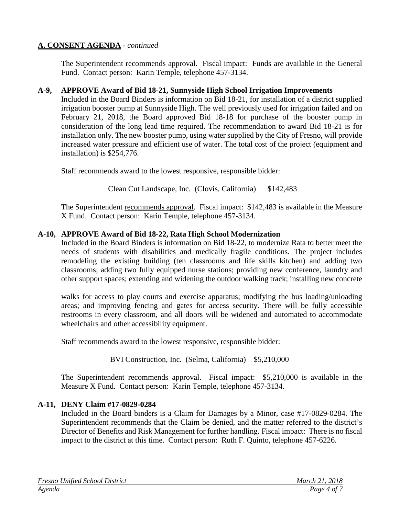# **A. CONSENT AGENDA** - *continued*

The Superintendent recommends approval. Fiscal impact:Funds are available in the General Fund. Contact person: Karin Temple, telephone 457-3134.

#### **A-9, APPROVE Award of Bid 18-21, Sunnyside High School Irrigation Improvements**

Included in the Board Binders is information on Bid 18-21, for installation of a district supplied irrigation booster pump at Sunnyside High. The well previously used for irrigation failed and on February 21, 2018, the Board approved Bid 18-18 for purchase of the booster pump in consideration of the long lead time required. The recommendation to award Bid 18-21 is for installation only. The new booster pump, using water supplied by the City of Fresno, will provide increased water pressure and efficient use of water. The total cost of the project (equipment and installation) is \$254,776.

Staff recommends award to the lowest responsive, responsible bidder:

Clean Cut Landscape, Inc. (Clovis, California) \$142,483

The Superintendent recommends approval. Fiscal impact:\$142,483 is available in the Measure X Fund. Contact person: Karin Temple, telephone 457-3134.

#### **A-10, APPROVE Award of Bid 18-22, Rata High School Modernization**

Included in the Board Binders is information on Bid 18-22, to modernize Rata to better meet the needs of students with disabilities and medically fragile conditions. The project includes remodeling the existing building (ten classrooms and life skills kitchen) and adding two classrooms; adding two fully equipped nurse stations; providing new conference, laundry and other support spaces; extending and widening the outdoor walking track; installing new concrete

walks for access to play courts and exercise apparatus; modifying the bus loading/unloading areas; and improving fencing and gates for access security. There will be fully accessible restrooms in every classroom, and all doors will be widened and automated to accommodate wheelchairs and other accessibility equipment.

Staff recommends award to the lowest responsive, responsible bidder:

BVI Construction, Inc. (Selma, California) \$5,210,000

The Superintendent recommends approval. Fiscal impact:\$5,210,000 is available in the Measure X Fund. Contact person: Karin Temple, telephone 457-3134.

## **A-11, DENY Claim #17-0829-0284**

Included in the Board binders is a Claim for Damages by a Minor, case #17-0829-0284. The Superintendent recommends that the Claim be denied, and the matter referred to the district's Director of Benefits and Risk Management for further handling. Fiscal impact: There is no fiscal impact to the district at this time. Contact person: Ruth F. Quinto, telephone 457-6226.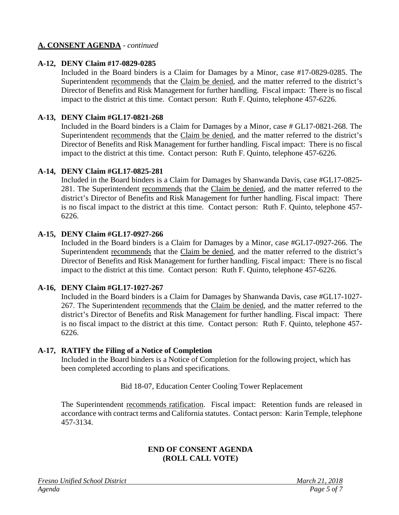## **A. CONSENT AGENDA** - *continued*

#### **A-12, DENY Claim #17-0829-0285**

Included in the Board binders is a Claim for Damages by a Minor, case #17-0829-0285. The Superintendent recommends that the Claim be denied, and the matter referred to the district's Director of Benefits and Risk Management for further handling. Fiscal impact: There is no fiscal impact to the district at this time. Contact person: Ruth F. Quinto, telephone 457-6226.

#### **A-13, DENY Claim #GL17-0821-268**

Included in the Board binders is a Claim for Damages by a Minor, case # GL17-0821-268. The Superintendent recommends that the Claim be denied, and the matter referred to the district's Director of Benefits and Risk Management for further handling. Fiscal impact: There is no fiscal impact to the district at this time. Contact person: Ruth F. Quinto, telephone 457-6226.

#### **A-14, DENY Claim #GL17-0825-281**

Included in the Board binders is a Claim for Damages by Shanwanda Davis, case #GL17-0825- 281. The Superintendent recommends that the Claim be denied, and the matter referred to the district's Director of Benefits and Risk Management for further handling. Fiscal impact: There is no fiscal impact to the district at this time. Contact person: Ruth F. Quinto, telephone 457- 6226.

#### **A-15, DENY Claim #GL17-0927-266**

Included in the Board binders is a Claim for Damages by a Minor, case #GL17-0927-266. The Superintendent recommends that the Claim be denied, and the matter referred to the district's Director of Benefits and Risk Management for further handling. Fiscal impact: There is no fiscal impact to the district at this time. Contact person: Ruth F. Quinto, telephone 457-6226.

#### **A-16, DENY Claim #GL17-1027-267**

Included in the Board binders is a Claim for Damages by Shanwanda Davis, case #GL17-1027- 267. The Superintendent recommends that the Claim be denied, and the matter referred to the district's Director of Benefits and Risk Management for further handling. Fiscal impact: There is no fiscal impact to the district at this time. Contact person: Ruth F. Quinto, telephone 457- 6226.

#### **A-17, RATIFY the Filing of a Notice of Completion**

Included in the Board binders is a Notice of Completion for the following project, which has been completed according to plans and specifications.

Bid 18-07, Education Center Cooling Tower Replacement

The Superintendent recommends ratification. Fiscal impact:Retention funds are released in accordance with contract terms and California statutes. Contact person: Karin Temple, telephone 457-3134.

#### **END OF CONSENT AGENDA (ROLL CALL VOTE)**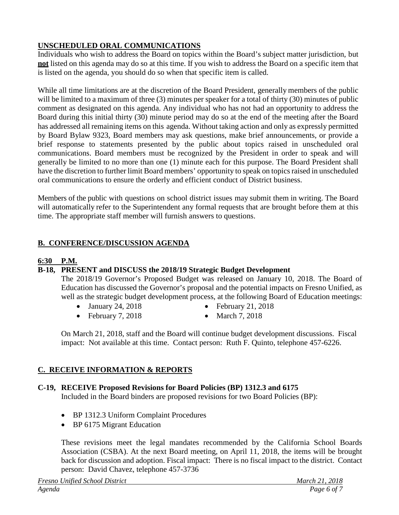# **UNSCHEDULED ORAL COMMUNICATIONS**

Individuals who wish to address the Board on topics within the Board's subject matter jurisdiction, but **not** listed on this agenda may do so at this time. If you wish to address the Board on a specific item that is listed on the agenda, you should do so when that specific item is called.

While all time limitations are at the discretion of the Board President, generally members of the public will be limited to a maximum of three (3) minutes per speaker for a total of thirty (30) minutes of public comment as designated on this agenda. Any individual who has not had an opportunity to address the Board during this initial thirty (30) minute period may do so at the end of the meeting after the Board has addressed all remaining items on this agenda. Without taking action and only as expressly permitted by Board Bylaw 9323, Board members may ask questions, make brief announcements, or provide a brief response to statements presented by the public about topics raised in unscheduled oral communications. Board members must be recognized by the President in order to speak and will generally be limited to no more than one (1) minute each for this purpose. The Board President shall have the discretion to further limit Board members' opportunity to speak on topics raised in unscheduled oral communications to ensure the orderly and efficient conduct of District business.

Members of the public with questions on school district issues may submit them in writing. The Board will automatically refer to the Superintendent any formal requests that are brought before them at this time. The appropriate staff member will furnish answers to questions.

# **B. CONFERENCE/DISCUSSION AGENDA**

## **6:30 P.M.**

## **B-18, PRESENT and DISCUSS the 2018/19 Strategic Budget Development**

The 2018/19 Governor's Proposed Budget was released on January 10, 2018. The Board of Education has discussed the Governor's proposal and the potential impacts on Fresno Unified, as well as the strategic budget development process, at the following Board of Education meetings:

- January 24, 2018 February 21, 2018
	-
- February 7, 2018 March 7, 2018
- 

On March 21, 2018, staff and the Board will continue budget development discussions. Fiscal impact: Not available at this time. Contact person: Ruth F. Quinto, telephone 457-6226.

## **C. RECEIVE INFORMATION & REPORTS**

## **C-19, RECEIVE Proposed Revisions for Board Policies (BP) 1312.3 and 6175**

Included in the Board binders are proposed revisions for two Board Policies (BP):

- BP 1312.3 Uniform Complaint Procedures
- BP 6175 Migrant Education

These revisions meet the legal mandates recommended by the California School Boards Association (CSBA). At the next Board meeting, on April 11, 2018, the items will be brought back for discussion and adoption. Fiscal impact: There is no fiscal impact to the district. Contact person: David Chavez, telephone 457-3736